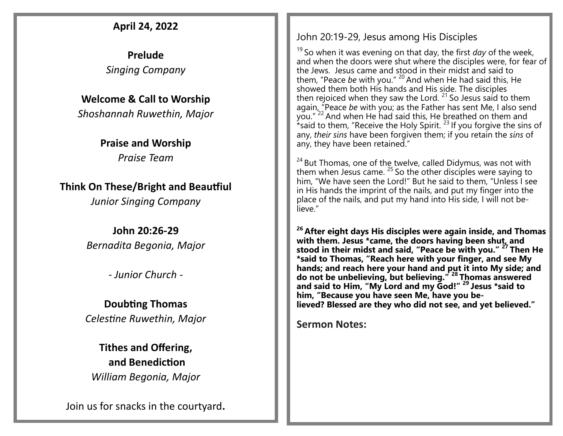### **April 24, 2022**

**Prelude** *Singing Company*

### **Welcome & Call to Worship**

*Shoshannah Ruwethin, Major*

### **Praise and Worship** *Praise Team*

**Think On These/Bright and Beautfiul**

*Junior Singing Company*

**John 20:26-29** *Bernadita Begonia, Major* 

*- Junior Church -*

### **Doubting Thomas** *Celestine Ruwethin, Major*

## **Tithes and Offering, and Benediction**

*William Begonia, Major*

Join us for snacks in the courtyard**.**

### John 20:19-29, Jesus among His Disciples

<sup>19</sup> So when it was evening on that day, the first *day* of the week, and when the doors were shut where the disciples were, for fear of the Jews. Jesus came and stood in their midst and said to them, "Peace *be* with you." <sup>20</sup> And when He had said this, He showed them both His hands and His side. The disciples then rejoiced when they saw the Lord.  $21$  So Jesus said to them again, "Peace *be* with you; as the Father has sent Me, I also send you."<sup>22</sup> And when He had said this, He breathed on them and \*said to them, "Receive the Holy Spirit.<sup>23</sup> If you forgive the sins of any, *their sins* have been forgiven them; if you retain the *sins* of any, they have been retained."

<sup>24</sup> But Thomas, one of the twelve, called Didymus, was not with them when Jesus came.  $25$  So the other disciples were saying to him, "We have seen the Lord!" But he said to them, "Unless I see in His hands the imprint of the nails, and put my finger into the place of the nails, and put my hand into His side, I will not believe."

**<sup>26</sup> After eight days His disciples were again inside, and Thomas with them. Jesus \*came, the doors having been shut, and stood in their midst and said, "Peace be with you." <sup>27</sup> Then He \*said to Thomas, "Reach here with your finger, and see My hands; and reach here your hand and put it into My side; and do not be unbelieving, but believing." <sup>28</sup> Thomas answered and said to Him, "My Lord and my God!" <sup>29</sup> Jesus \*said to him, "Because you have seen Me, have you believed? Blessed are they who did not see, and yet believed."**

**Sermon Notes:**